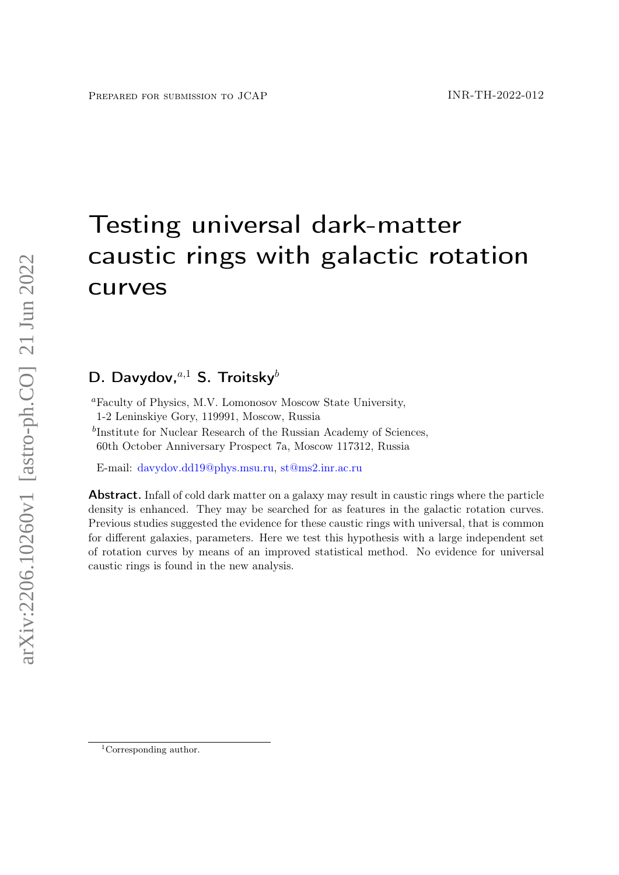# Testing universal dark-matter caustic rings with galactic rotation curves

# D. Davydov, $a,1$  S. Troitsky $b$

<sup>1</sup>Corresponding author.

<sup>a</sup>Faculty of Physics, M.V. Lomonosov Moscow State University, 1-2 Leninskiye Gory, 119991, Moscow, Russia

<sup>b</sup>Institute for Nuclear Research of the Russian Academy of Sciences, 60th October Anniversary Prospect 7a, Moscow 117312, Russia

E-mail: [davydov.dd19@phys.msu.ru,](mailto:davydov.dd19@phys.msu.ru) [st@ms2.inr.ac.ru](mailto:st@ms2.inr.ac.ru)

Abstract. Infall of cold dark matter on a galaxy may result in caustic rings where the particle density is enhanced. They may be searched for as features in the galactic rotation curves. Previous studies suggested the evidence for these caustic rings with universal, that is common for different galaxies, parameters. Here we test this hypothesis with a large independent set of rotation curves by means of an improved statistical method. No evidence for universal caustic rings is found in the new analysis.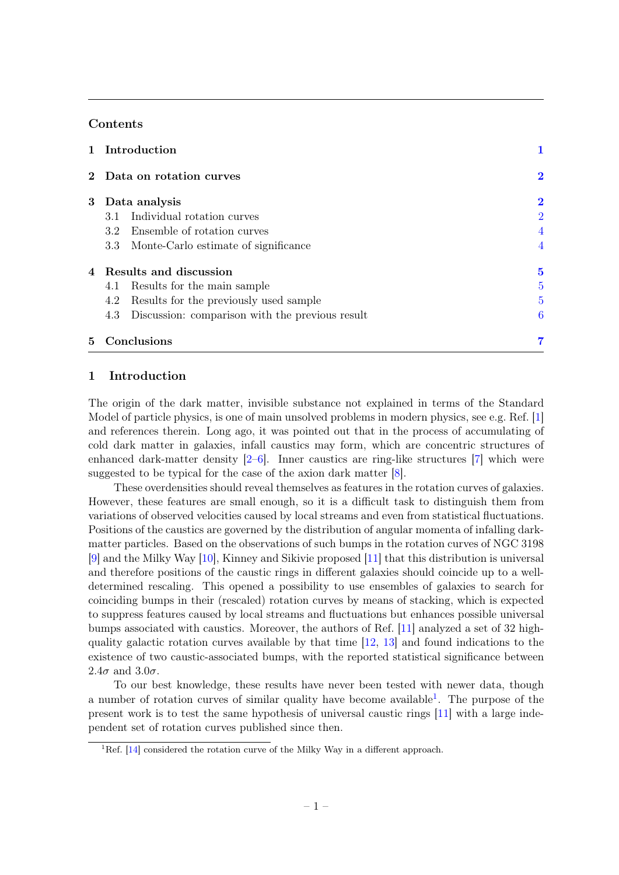# Contents

|   | 1 Introduction                                         |                |
|---|--------------------------------------------------------|----------------|
|   | 2 Data on rotation curves                              | $\bf{2}$       |
|   | 3 Data analysis                                        | $\bf{2}$       |
|   | Individual rotation curves<br>3.1                      | $\overline{2}$ |
|   | 3.2 Ensemble of rotation curves                        | 4              |
|   | 3.3 Monte-Carlo estimate of significance               | 4              |
|   | 4 Results and discussion                               | $\bf{5}$       |
|   | 4.1 Results for the main sample                        | 5              |
|   | Results for the previously used sample<br>4.2          | 5              |
|   | Discussion: comparison with the previous result<br>4.3 | 6              |
| 5 | Conclusions                                            |                |

# <span id="page-1-0"></span>1 Introduction

The origin of the dark matter, invisible substance not explained in terms of the Standard Model of particle physics, is one of main unsolved problems in modern physics, see e.g. Ref. [\[1\]](#page-7-1) and references therein. Long ago, it was pointed out that in the process of accumulating of cold dark matter in galaxies, infall caustics may form, which are concentric structures of enhanced dark-matter density [\[2](#page-7-2)[–6\]](#page-8-0). Inner caustics are ring-like structures [\[7\]](#page-8-1) which were suggested to be typical for the case of the axion dark matter [\[8\]](#page-8-2).

These overdensities should reveal themselves as features in the rotation curves of galaxies. However, these features are small enough, so it is a difficult task to distinguish them from variations of observed velocities caused by local streams and even from statistical fluctuations. Positions of the caustics are governed by the distribution of angular momenta of infalling darkmatter particles. Based on the observations of such bumps in the rotation curves of NGC 3198 [\[9\]](#page-8-3) and the Milky Way [\[10\]](#page-8-4), Kinney and Sikivie proposed [\[11\]](#page-8-5) that this distribution is universal and therefore positions of the caustic rings in different galaxies should coincide up to a welldetermined rescaling. This opened a possibility to use ensembles of galaxies to search for coinciding bumps in their (rescaled) rotation curves by means of stacking, which is expected to suppress features caused by local streams and fluctuations but enhances possible universal bumps associated with caustics. Moreover, the authors of Ref. [\[11\]](#page-8-5) analyzed a set of 32 highquality galactic rotation curves available by that time [\[12,](#page-8-6) [13\]](#page-8-7) and found indications to the existence of two caustic-associated bumps, with the reported statistical significance between 2.4 $\sigma$  and 3.0 $\sigma$ .

To our best knowledge, these results have never been tested with newer data, though a number of rotation curves of similar quality have become available<sup>[1](#page-1-1)</sup>. The purpose of the present work is to test the same hypothesis of universal caustic rings [\[11\]](#page-8-5) with a large independent set of rotation curves published since then.

<span id="page-1-1"></span><sup>1</sup>Ref. [\[14\]](#page-8-8) considered the rotation curve of the Milky Way in a different approach.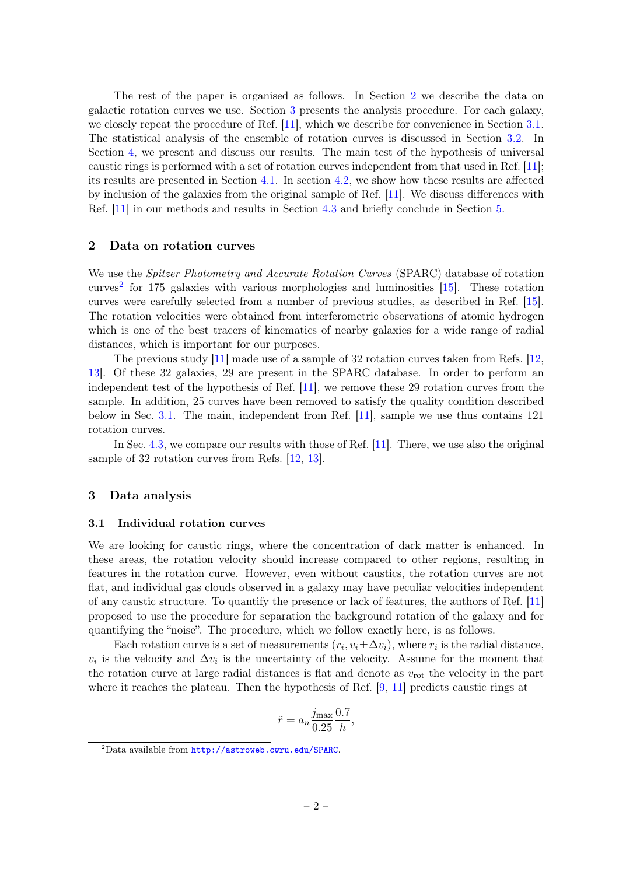The rest of the paper is organised as follows. In Section [2](#page-2-0) we describe the data on galactic rotation curves we use. Section [3](#page-2-1) presents the analysis procedure. For each galaxy, we closely repeat the procedure of Ref. [\[11\]](#page-8-5), which we describe for convenience in Section [3.1.](#page-2-2) The statistical analysis of the ensemble of rotation curves is discussed in Section [3.2.](#page-4-0) In Section [4,](#page-5-0) we present and discuss our results. The main test of the hypothesis of universal caustic rings is performed with a set of rotation curves independent from that used in Ref. [\[11\]](#page-8-5); its results are presented in Section [4.1.](#page-5-1) In section [4.2,](#page-5-2) we show how these results are affected by inclusion of the galaxies from the original sample of Ref. [\[11\]](#page-8-5). We discuss differences with Ref. [\[11\]](#page-8-5) in our methods and results in Section [4.3](#page-6-0) and briefly conclude in Section [5.](#page-7-0)

# <span id="page-2-0"></span>2 Data on rotation curves

We use the *Spitzer Photometry and Accurate Rotation Curves* (SPARC) database of rotation curves<sup>[2](#page-2-3)</sup> for 175 galaxies with various morphologies and luminosities  $[15]$ . These rotation curves were carefully selected from a number of previous studies, as described in Ref. [\[15\]](#page-8-9). The rotation velocities were obtained from interferometric observations of atomic hydrogen which is one of the best tracers of kinematics of nearby galaxies for a wide range of radial distances, which is important for our purposes.

The previous study [\[11\]](#page-8-5) made use of a sample of 32 rotation curves taken from Refs. [\[12,](#page-8-6) [13\]](#page-8-7). Of these 32 galaxies, 29 are present in the SPARC database. In order to perform an independent test of the hypothesis of Ref. [\[11\]](#page-8-5), we remove these 29 rotation curves from the sample. In addition, 25 curves have been removed to satisfy the quality condition described below in Sec. [3.1.](#page-2-2) The main, independent from Ref. [\[11\]](#page-8-5), sample we use thus contains 121 rotation curves.

In Sec. [4.3,](#page-6-0) we compare our results with those of Ref. [\[11\]](#page-8-5). There, we use also the original sample of 32 rotation curves from Refs. [\[12,](#page-8-6) [13\]](#page-8-7).

# <span id="page-2-1"></span>3 Data analysis

#### <span id="page-2-2"></span>3.1 Individual rotation curves

We are looking for caustic rings, where the concentration of dark matter is enhanced. In these areas, the rotation velocity should increase compared to other regions, resulting in features in the rotation curve. However, even without caustics, the rotation curves are not flat, and individual gas clouds observed in a galaxy may have peculiar velocities independent of any caustic structure. To quantify the presence or lack of features, the authors of Ref. [\[11\]](#page-8-5) proposed to use the procedure for separation the background rotation of the galaxy and for quantifying the "noise". The procedure, which we follow exactly here, is as follows.

Each rotation curve is a set of measurements  $(r_i, v_i \pm \Delta v_i)$ , where  $r_i$  is the radial distance,  $v_i$  is the velocity and  $\Delta v_i$  is the uncertainty of the velocity. Assume for the moment that the rotation curve at large radial distances is flat and denote as  $v_{\text{rot}}$  the velocity in the part where it reaches the plateau. Then the hypothesis of Ref. [\[9,](#page-8-3) [11\]](#page-8-5) predicts caustic rings at

$$
\tilde{r} = a_n \frac{j_{\text{max}}}{0.25} \frac{0.7}{h},
$$

<span id="page-2-3"></span><sup>2</sup>Data available from <http://astroweb.cwru.edu/SPARC>.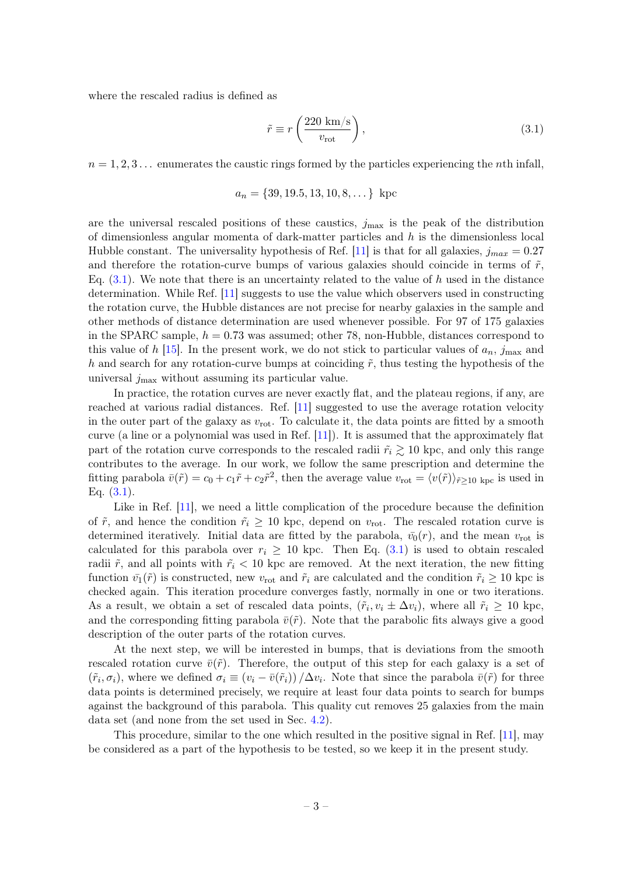where the rescaled radius is defined as

<span id="page-3-0"></span>
$$
\tilde{r} \equiv r \left( \frac{220 \text{ km/s}}{v_{\text{rot}}} \right),\tag{3.1}
$$

 $n = 1, 2, 3...$  enumerates the caustic rings formed by the particles experiencing the *n*th infall,

$$
a_n = \{39, 19.5, 13, 10, 8, \dots\} \text{ kpc}
$$

are the universal rescaled positions of these caustics,  $j_{\text{max}}$  is the peak of the distribution of dimensionless angular momenta of dark-matter particles and h is the dimensionless local Hubble constant. The universality hypothesis of Ref. [\[11\]](#page-8-5) is that for all galaxies,  $j_{max} = 0.27$ and therefore the rotation-curve bumps of various galaxies should coincide in terms of  $\tilde{r}$ , Eq.  $(3.1)$ . We note that there is an uncertainty related to the value of h used in the distance determination. While Ref. [\[11\]](#page-8-5) suggests to use the value which observers used in constructing the rotation curve, the Hubble distances are not precise for nearby galaxies in the sample and other methods of distance determination are used whenever possible. For 97 of 175 galaxies in the SPARC sample,  $h = 0.73$  was assumed; other 78, non-Hubble, distances correspond to this value of h [\[15\]](#page-8-9). In the present work, we do not stick to particular values of  $a_n$ ,  $j_{\text{max}}$  and h and search for any rotation-curve bumps at coinciding  $\tilde{r}$ , thus testing the hypothesis of the universal  $j_{\text{max}}$  without assuming its particular value.

In practice, the rotation curves are never exactly flat, and the plateau regions, if any, are reached at various radial distances. Ref. [\[11\]](#page-8-5) suggested to use the average rotation velocity in the outer part of the galaxy as  $v_{\text{rot}}$ . To calculate it, the data points are fitted by a smooth curve (a line or a polynomial was used in Ref.  $|11|$ ). It is assumed that the approximately flat part of the rotation curve corresponds to the rescaled radii  $\tilde{r}_i \gtrsim 10$  kpc, and only this range contributes to the average. In our work, we follow the same prescription and determine the fitting parabola  $\bar{v}(\tilde{r}) = c_0 + c_1 \tilde{r} + c_2 \tilde{r}^2$ , then the average value  $v_{\text{rot}} = \langle v(\tilde{r}) \rangle_{\tilde{r} \geq 10 \text{ kpc}}$  is used in Eq. [\(3.1\)](#page-3-0).

Like in Ref. [\[11\]](#page-8-5), we need a little complication of the procedure because the definition of  $\tilde{r}$ , and hence the condition  $\tilde{r}_i \geq 10$  kpc, depend on  $v_{\rm rot}$ . The rescaled rotation curve is determined iteratively. Initial data are fitted by the parabola,  $\bar{v}_0(r)$ , and the mean  $v_{\text{rot}}$  is calculated for this parabola over  $r_i \geq 10$  kpc. Then Eq. [\(3.1\)](#page-3-0) is used to obtain rescaled radii  $\tilde{r}$ , and all points with  $\tilde{r}_i < 10$  kpc are removed. At the next iteration, the new fitting function  $\bar{v}_1(\tilde{r})$  is constructed, new  $v_{\text{rot}}$  and  $\tilde{r}_i$  are calculated and the condition  $\tilde{r}_i \geq 10$  kpc is checked again. This iteration procedure converges fastly, normally in one or two iterations. As a result, we obtain a set of rescaled data points,  $(\tilde{r}_i, v_i \pm \Delta v_i)$ , where all  $\tilde{r}_i \geq 10$  kpc, and the corresponding fitting parabola  $\bar{v}(\tilde{r})$ . Note that the parabolic fits always give a good description of the outer parts of the rotation curves.

At the next step, we will be interested in bumps, that is deviations from the smooth rescaled rotation curve  $\bar{v}(\tilde{r})$ . Therefore, the output of this step for each galaxy is a set of  $(\tilde{r}_i, \sigma_i)$ , where we defined  $\sigma_i \equiv (v_i - \bar{v}(\tilde{r}_i)) / \Delta v_i$ . Note that since the parabola  $\bar{v}(\tilde{r})$  for three data points is determined precisely, we require at least four data points to search for bumps against the background of this parabola. This quality cut removes 25 galaxies from the main data set (and none from the set used in Sec. [4.2\)](#page-5-2).

This procedure, similar to the one which resulted in the positive signal in Ref. [\[11\]](#page-8-5), may be considered as a part of the hypothesis to be tested, so we keep it in the present study.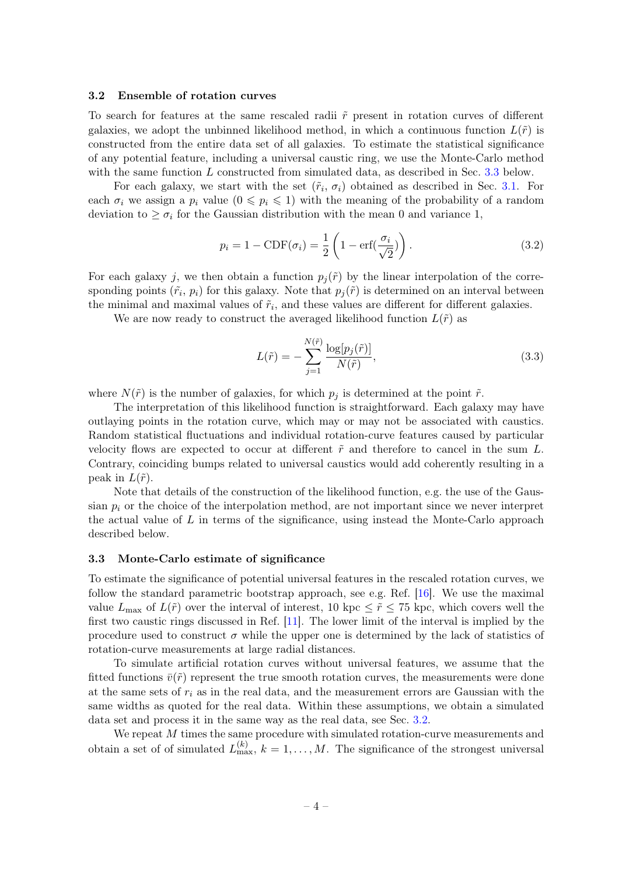# <span id="page-4-0"></span>3.2 Ensemble of rotation curves

To search for features at the same rescaled radii  $\tilde{r}$  present in rotation curves of different galaxies, we adopt the unbinned likelihood method, in which a continuous function  $L(\tilde{r})$  is constructed from the entire data set of all galaxies. To estimate the statistical significance of any potential feature, including a universal caustic ring, we use the Monte-Carlo method with the same function L constructed from simulated data, as described in Sec. [3.3](#page-4-1) below.

For each galaxy, we start with the set  $(\tilde{r}_i, \sigma_i)$  obtained as described in Sec. [3.1.](#page-2-2) For each  $\sigma_i$  we assign a  $p_i$  value  $(0 \leq p_i \leq 1)$  with the meaning of the probability of a random deviation to  $\geq \sigma_i$  for the Gaussian distribution with the mean 0 and variance 1,

$$
p_i = 1 - \text{CDF}(\sigma_i) = \frac{1}{2} \left( 1 - \text{erf}(\frac{\sigma_i}{\sqrt{2}}) \right). \tag{3.2}
$$

For each galaxy j, we then obtain a function  $p_i(\tilde{r})$  by the linear interpolation of the corresponding points  $(\tilde{r}_i, p_i)$  for this galaxy. Note that  $p_j(\tilde{r})$  is determined on an interval between the minimal and maximal values of  $\tilde{r}_i$ , and these values are different for different galaxies.

We are now ready to construct the averaged likelihood function  $L(\tilde{r})$  as

$$
L(\tilde{r}) = -\sum_{j=1}^{N(\tilde{r})} \frac{\log[p_j(\tilde{r})]}{N(\tilde{r})},\tag{3.3}
$$

where  $N(\tilde{r})$  is the number of galaxies, for which  $p_i$  is determined at the point  $\tilde{r}$ .

The interpretation of this likelihood function is straightforward. Each galaxy may have outlaying points in the rotation curve, which may or may not be associated with caustics. Random statistical fluctuations and individual rotation-curve features caused by particular velocity flows are expected to occur at different  $\tilde{r}$  and therefore to cancel in the sum L. Contrary, coinciding bumps related to universal caustics would add coherently resulting in a peak in  $L(\tilde{r})$ .

Note that details of the construction of the likelihood function, e.g. the use of the Gaussian  $p_i$  or the choice of the interpolation method, are not important since we never interpret the actual value of  $L$  in terms of the significance, using instead the Monte-Carlo approach described below.

#### <span id="page-4-1"></span>3.3 Monte-Carlo estimate of significance

To estimate the significance of potential universal features in the rescaled rotation curves, we follow the standard parametric bootstrap approach, see e.g. Ref. [\[16\]](#page-8-10). We use the maximal value  $L_{\text{max}}$  of  $L(\tilde{r})$  over the interval of interest, 10 kpc  $\leq \tilde{r} \leq 75$  kpc, which covers well the first two caustic rings discussed in Ref. [\[11\]](#page-8-5). The lower limit of the interval is implied by the procedure used to construct  $\sigma$  while the upper one is determined by the lack of statistics of rotation-curve measurements at large radial distances.

To simulate artificial rotation curves without universal features, we assume that the fitted functions  $\bar{v}(\tilde{r})$  represent the true smooth rotation curves, the measurements were done at the same sets of  $r_i$  as in the real data, and the measurement errors are Gaussian with the same widths as quoted for the real data. Within these assumptions, we obtain a simulated data set and process it in the same way as the real data, see Sec. [3.2.](#page-4-0)

We repeat M times the same procedure with simulated rotation-curve measurements and obtain a set of of simulated  $L_{\text{max}}^{(k)}$ ,  $k = 1, ..., M$ . The significance of the strongest universal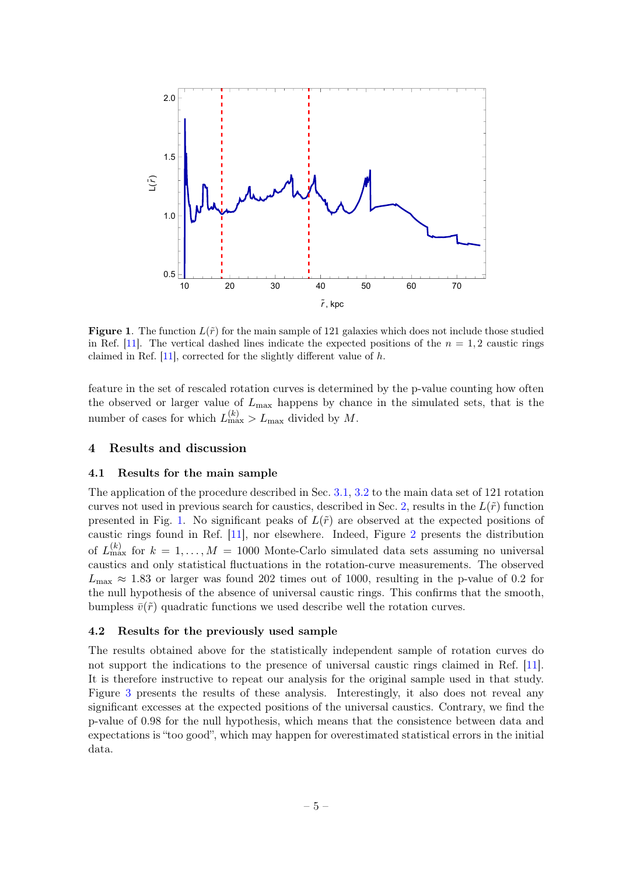

<span id="page-5-3"></span>**Figure 1.** The function  $L(\tilde{r})$  for the main sample of 121 galaxies which does not include those studied in Ref. [\[11\]](#page-8-5). The vertical dashed lines indicate the expected positions of the  $n = 1, 2$  caustic rings claimed in Ref. [\[11\]](#page-8-5), corrected for the slightly different value of h.

feature in the set of rescaled rotation curves is determined by the p-value counting how often the observed or larger value of  $L_{\text{max}}$  happens by chance in the simulated sets, that is the number of cases for which  $L_{\text{max}}^{(k)} > L_{\text{max}}$  divided by M.

# <span id="page-5-0"></span>4 Results and discussion

# <span id="page-5-1"></span>4.1 Results for the main sample

The application of the procedure described in Sec. [3.1,](#page-2-2) [3.2](#page-4-0) to the main data set of 121 rotation curves not used in previous search for caustics, described in Sec. [2,](#page-2-0) results in the  $L(\tilde{r})$  function presented in Fig. [1.](#page-5-3) No significant peaks of  $L(\tilde{r})$  are observed at the expected positions of caustic rings found in Ref. [\[11\]](#page-8-5), nor elsewhere. Indeed, Figure [2](#page-6-1) presents the distribution of  $L_{\text{max}}^{(k)}$  for  $k = 1, ..., M = 1000$  Monte-Carlo simulated data sets assuming no universal caustics and only statistical fluctuations in the rotation-curve measurements. The observed  $L_{\text{max}} \approx 1.83$  or larger was found 202 times out of 1000, resulting in the p-value of 0.2 for the null hypothesis of the absence of universal caustic rings. This confirms that the smooth, bumpless  $\bar{v}(\tilde{r})$  quadratic functions we used describe well the rotation curves.

#### <span id="page-5-2"></span>4.2 Results for the previously used sample

The results obtained above for the statistically independent sample of rotation curves do not support the indications to the presence of universal caustic rings claimed in Ref. [\[11\]](#page-8-5). It is therefore instructive to repeat our analysis for the original sample used in that study. Figure [3](#page-6-2) presents the results of these analysis. Interestingly, it also does not reveal any significant excesses at the expected positions of the universal caustics. Contrary, we find the p-value of 0.98 for the null hypothesis, which means that the consistence between data and expectations is "too good", which may happen for overestimated statistical errors in the initial data.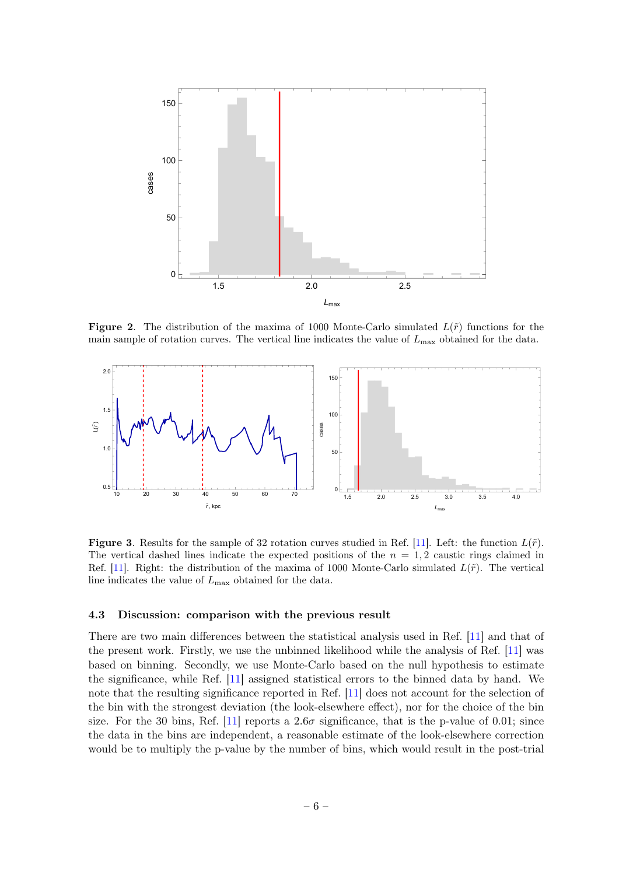

<span id="page-6-1"></span>**Figure 2.** The distribution of the maxima of 1000 Monte-Carlo simulated  $L(\tilde{r})$  functions for the main sample of rotation curves. The vertical line indicates the value of  $L_{\text{max}}$  obtained for the data.



<span id="page-6-2"></span>**Figure 3.** Results for the sample of 32 rotation curves studied in Ref. [\[11\]](#page-8-5). Left: the function  $L(\tilde{r})$ . The vertical dashed lines indicate the expected positions of the  $n = 1, 2$  caustic rings claimed in Ref. [\[11\]](#page-8-5). Right: the distribution of the maxima of 1000 Monte-Carlo simulated  $L(\tilde{r})$ . The vertical line indicates the value of  $L_{\text{max}}$  obtained for the data.

#### <span id="page-6-0"></span>4.3 Discussion: comparison with the previous result

There are two main differences between the statistical analysis used in Ref. [\[11\]](#page-8-5) and that of the present work. Firstly, we use the unbinned likelihood while the analysis of Ref. [\[11\]](#page-8-5) was based on binning. Secondly, we use Monte-Carlo based on the null hypothesis to estimate the significance, while Ref. [\[11\]](#page-8-5) assigned statistical errors to the binned data by hand. We note that the resulting significance reported in Ref. [\[11\]](#page-8-5) does not account for the selection of the bin with the strongest deviation (the look-elsewhere effect), nor for the choice of the bin size. For the 30 bins, Ref. [\[11\]](#page-8-5) reports a  $2.6\sigma$  significance, that is the p-value of 0.01; since the data in the bins are independent, a reasonable estimate of the look-elsewhere correction would be to multiply the p-value by the number of bins, which would result in the post-trial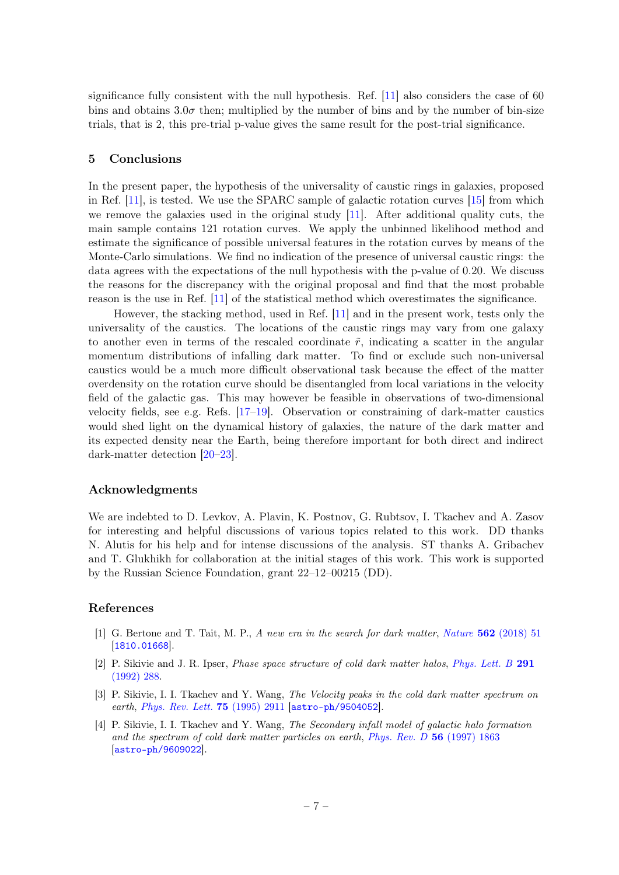significance fully consistent with the null hypothesis. Ref. [\[11\]](#page-8-5) also considers the case of 60 bins and obtains  $3.0\sigma$  then; multiplied by the number of bins and by the number of bin-size trials, that is 2, this pre-trial p-value gives the same result for the post-trial significance.

# <span id="page-7-0"></span>5 Conclusions

In the present paper, the hypothesis of the universality of caustic rings in galaxies, proposed in Ref. [\[11\]](#page-8-5), is tested. We use the SPARC sample of galactic rotation curves [\[15\]](#page-8-9) from which we remove the galaxies used in the original study  $[11]$ . After additional quality cuts, the main sample contains 121 rotation curves. We apply the unbinned likelihood method and estimate the significance of possible universal features in the rotation curves by means of the Monte-Carlo simulations. We find no indication of the presence of universal caustic rings: the data agrees with the expectations of the null hypothesis with the p-value of 0.20. We discuss the reasons for the discrepancy with the original proposal and find that the most probable reason is the use in Ref. [\[11\]](#page-8-5) of the statistical method which overestimates the significance.

However, the stacking method, used in Ref. [\[11\]](#page-8-5) and in the present work, tests only the universality of the caustics. The locations of the caustic rings may vary from one galaxy to another even in terms of the rescaled coordinate  $\tilde{r}$ , indicating a scatter in the angular momentum distributions of infalling dark matter. To find or exclude such non-universal caustics would be a much more difficult observational task because the effect of the matter overdensity on the rotation curve should be disentangled from local variations in the velocity field of the galactic gas. This may however be feasible in observations of two-dimensional velocity fields, see e.g. Refs. [\[17–](#page-8-11)[19\]](#page-8-12). Observation or constraining of dark-matter caustics would shed light on the dynamical history of galaxies, the nature of the dark matter and its expected density near the Earth, being therefore important for both direct and indirect dark-matter detection [\[20–](#page-8-13)[23\]](#page-8-14).

#### Acknowledgments

We are indebted to D. Levkov, A. Plavin, K. Postnov, G. Rubtsov, I. Tkachev and A. Zasov for interesting and helpful discussions of various topics related to this work. DD thanks N. Alutis for his help and for intense discussions of the analysis. ST thanks A. Gribachev and T. Glukhikh for collaboration at the initial stages of this work. This work is supported by the Russian Science Foundation, grant 22–12–00215 (DD).

# References

- <span id="page-7-1"></span>[1] G. Bertone and T. Tait, M. P., A new era in the search for dark matter, Nature 562 [\(2018\) 51](https://doi.org/10.1038/s41586-018-0542-z) [[1810.01668](https://arxiv.org/abs/1810.01668)].
- <span id="page-7-2"></span>[2] P. Sikivie and J. R. Ipser, Phase space structure of cold dark matter halos, [Phys. Lett. B](https://doi.org/10.1016/0370-2693(92)91047-D) 291 [\(1992\) 288.](https://doi.org/10.1016/0370-2693(92)91047-D)
- [3] P. Sikivie, I. I. Tkachev and Y. Wang, The Velocity peaks in the cold dark matter spectrum on earth, [Phys. Rev. Lett.](https://doi.org/10.1103/PhysRevLett.75.2911) **75** (1995) 2911 [[astro-ph/9504052](https://arxiv.org/abs/astro-ph/9504052)].
- [4] P. Sikivie, I. I. Tkachev and Y. Wang, The Secondary infall model of galactic halo formation and the spectrum of cold dark matter particles on earth, [Phys. Rev. D](https://doi.org/10.1103/PhysRevD.56.1863) 56 (1997) 1863 [[astro-ph/9609022](https://arxiv.org/abs/astro-ph/9609022)].